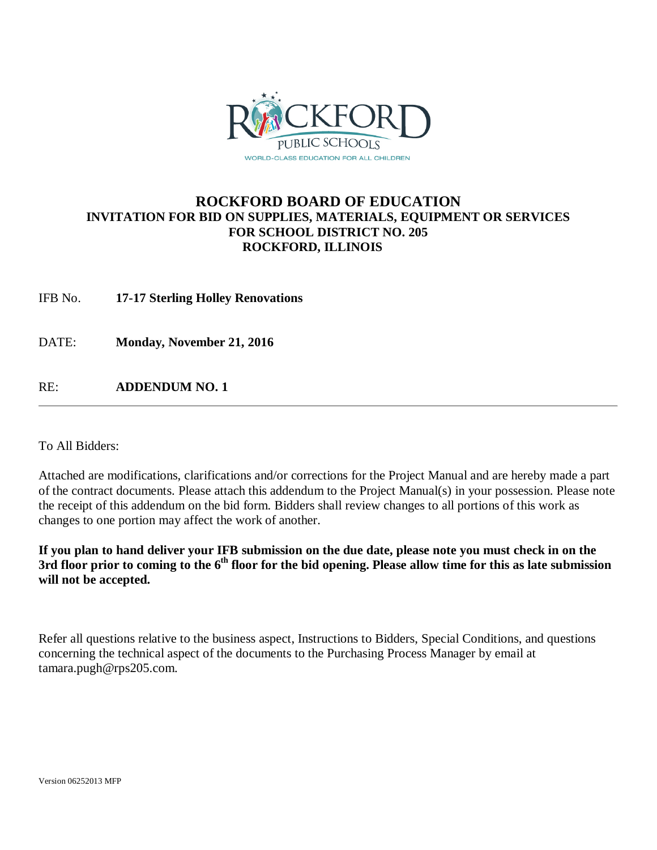

# **ROCKFORD BOARD OF EDUCATION INVITATION FOR BID ON SUPPLIES, MATERIALS, EQUIPMENT OR SERVICES FOR SCHOOL DISTRICT NO. 205 ROCKFORD, ILLINOIS**

IFB No. **17-17 Sterling Holley Renovations**

DATE: **Monday, November 21, 2016**

RE: **ADDENDUM NO. 1**

To All Bidders:

Attached are modifications, clarifications and/or corrections for the Project Manual and are hereby made a part of the contract documents. Please attach this addendum to the Project Manual(s) in your possession. Please note the receipt of this addendum on the bid form. Bidders shall review changes to all portions of this work as changes to one portion may affect the work of another.

**If you plan to hand deliver your IFB submission on the due date, please note you must check in on the**  3rd floor prior to coming to the 6<sup>th</sup> floor for the bid opening. Please allow time for this as late submission **will not be accepted.**

Refer all questions relative to the business aspect, Instructions to Bidders, Special Conditions, and questions concerning the technical aspect of the documents to the Purchasing Process Manager by email at tamara.pugh@rps205.com.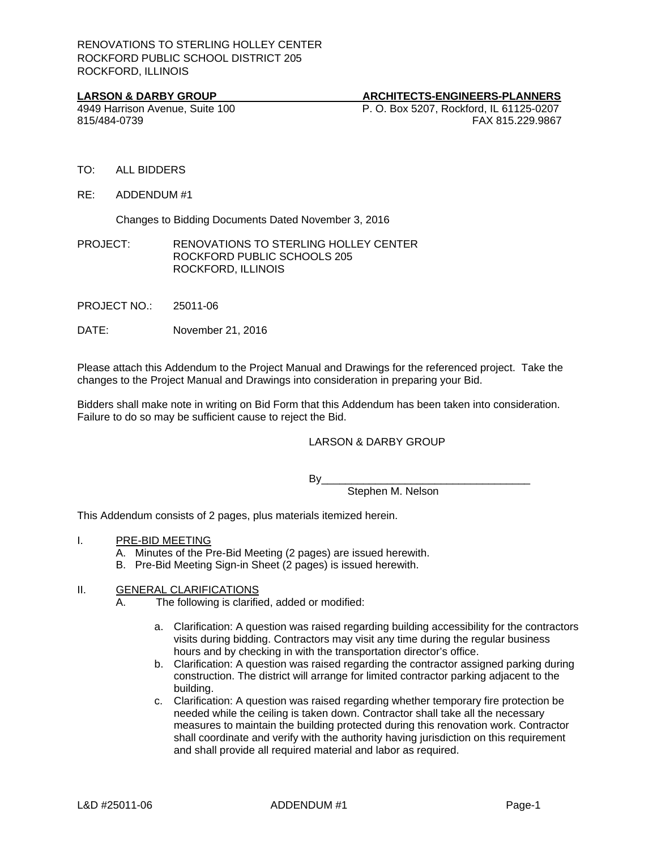#### LARSON & DARBY GROUP **ARCHITECTS-ENGINEERS-PLANNERS**

4949 Harrison Avenue, Suite 100 P. O. Box 5207, Rockford, IL 61125-0207 815/484-0739 FAX 815.229.9867

- TO: ALL BIDDERS
- RE: ADDENDUM #1

Changes to Bidding Documents Dated November 3, 2016

PROJECT: RENOVATIONS TO STERLING HOLLEY CENTER ROCKFORD PUBLIC SCHOOLS 205 ROCKFORD, ILLINOIS

PROJECT NO.: 25011-06

DATE: November 21, 2016

Please attach this Addendum to the Project Manual and Drawings for the referenced project. Take the changes to the Project Manual and Drawings into consideration in preparing your Bid.

Bidders shall make note in writing on Bid Form that this Addendum has been taken into consideration. Failure to do so may be sufficient cause to reject the Bid.

#### LARSON & DARBY GROUP

By\_\_\_\_\_\_\_\_\_\_\_\_\_\_\_\_\_\_\_\_\_\_\_\_\_\_\_\_\_\_\_\_\_\_\_

Stephen M. Nelson

This Addendum consists of 2 pages, plus materials itemized herein.

- I. PRE-BID MEETING
	- A. Minutes of the Pre-Bid Meeting (2 pages) are issued herewith.
	- B. Pre-Bid Meeting Sign-in Sheet (2 pages) is issued herewith.

### II. GENERAL CLARIFICATIONS

A. The following is clarified, added or modified:

- a. Clarification: A question was raised regarding building accessibility for the contractors visits during bidding. Contractors may visit any time during the regular business hours and by checking in with the transportation director's office.
- b. Clarification: A question was raised regarding the contractor assigned parking during construction. The district will arrange for limited contractor parking adjacent to the building.
- c. Clarification: A question was raised regarding whether temporary fire protection be needed while the ceiling is taken down. Contractor shall take all the necessary measures to maintain the building protected during this renovation work. Contractor shall coordinate and verify with the authority having jurisdiction on this requirement and shall provide all required material and labor as required.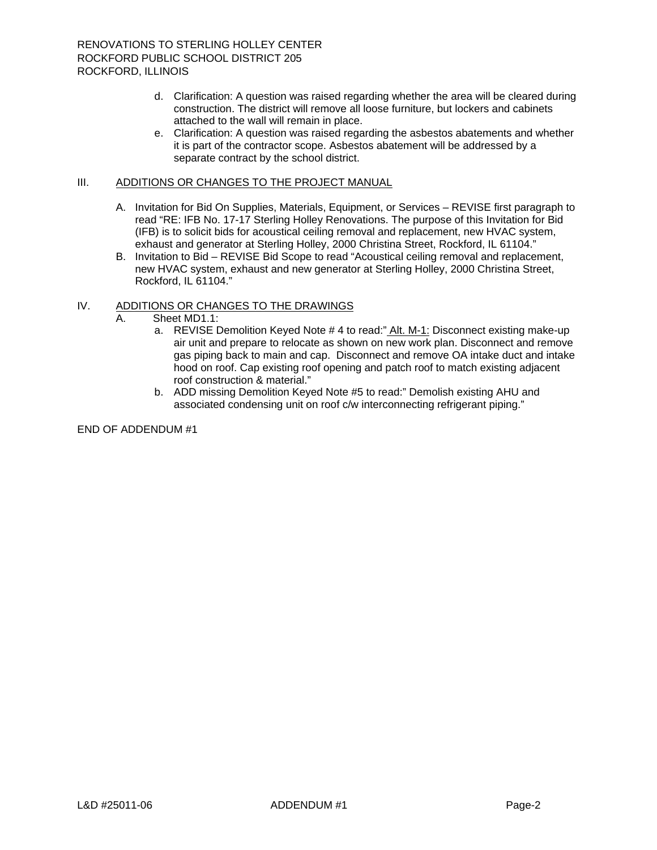- d. Clarification: A question was raised regarding whether the area will be cleared during construction. The district will remove all loose furniture, but lockers and cabinets attached to the wall will remain in place.
- e. Clarification: A question was raised regarding the asbestos abatements and whether it is part of the contractor scope. Asbestos abatement will be addressed by a separate contract by the school district.

#### III. ADDITIONS OR CHANGES TO THE PROJECT MANUAL

- A. Invitation for Bid On Supplies, Materials, Equipment, or Services REVISE first paragraph to read "RE: IFB No. 17-17 Sterling Holley Renovations. The purpose of this Invitation for Bid (IFB) is to solicit bids for acoustical ceiling removal and replacement, new HVAC system, exhaust and generator at Sterling Holley, 2000 Christina Street, Rockford, IL 61104."
- B. Invitation to Bid REVISE Bid Scope to read "Acoustical ceiling removal and replacement, new HVAC system, exhaust and new generator at Sterling Holley, 2000 Christina Street, Rockford, IL 61104."

### IV. ADDITIONS OR CHANGES TO THE DRAWINGS

- A. Sheet MD1.1:
	- a. REVISE Demolition Keyed Note # 4 to read:" Alt. M-1: Disconnect existing make-up air unit and prepare to relocate as shown on new work plan. Disconnect and remove gas piping back to main and cap. Disconnect and remove OA intake duct and intake hood on roof. Cap existing roof opening and patch roof to match existing adjacent roof construction & material."
	- b. ADD missing Demolition Keyed Note #5 to read:" Demolish existing AHU and associated condensing unit on roof c/w interconnecting refrigerant piping."

END OF ADDENDUM #1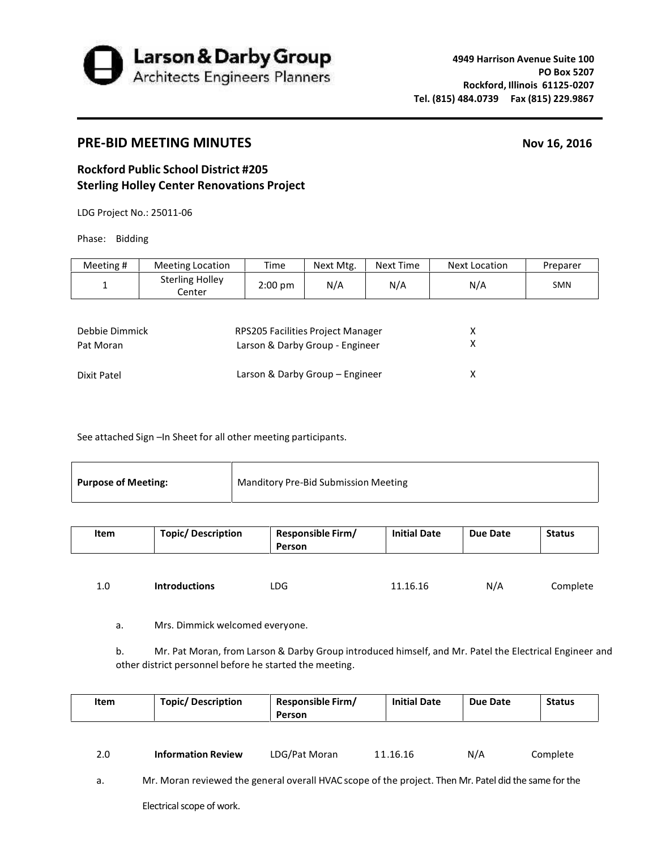

## **PRE-BID MEETING MINUTES Nov 16, 2016**

## **Rockford Public School District #205 Sterling Holley Center Renovations Project**

LDG Project No.: 25011-06

Phase: Bidding

| Meeting #      | <b>Meeting Location</b>          | Time                              | Next Mtg. | Next Time | Next Location | Preparer   |
|----------------|----------------------------------|-----------------------------------|-----------|-----------|---------------|------------|
| 1              | <b>Sterling Holley</b><br>Center | $2:00 \text{ pm}$                 | N/A       | N/A       | N/A           | <b>SMN</b> |
|                |                                  |                                   |           |           |               |            |
| Debbie Dimmick |                                  | RPS205 Facilities Project Manager |           |           | x             |            |
| Pat Moran      |                                  | Larson & Darby Group - Engineer   |           |           | х             |            |
| Dixit Patel    |                                  | Larson & Darby Group - Engineer   |           |           | χ             |            |

See attached Sign -In Sheet for all other meeting participants.

| <b>Purpose of Meeting:</b> | <b>Manditory Pre-Bid Submission Meeting</b> |
|----------------------------|---------------------------------------------|
|----------------------------|---------------------------------------------|

| Item | <b>Topic/ Description</b> | <b>Responsible Firm/</b><br>Person | <b>Initial Date</b> | Due Date | <b>Status</b> |
|------|---------------------------|------------------------------------|---------------------|----------|---------------|
|      |                           |                                    |                     |          |               |
| 1.0  | <b>Introductions</b>      | LDG                                | 11.16.16            | N/A      | Complete      |

a. Mrs. Dimmick welcomed everyone.

b. Mr. Pat Moran, from Larson & Darby Group introduced himself, and Mr. Patel the Electrical Engineer and other district personnel before he started the meeting.

| Item | <b>Topic/ Description</b>                                                                             | <b>Responsible Firm/</b><br>Person | <b>Initial Date</b> | Due Date | <b>Status</b> |
|------|-------------------------------------------------------------------------------------------------------|------------------------------------|---------------------|----------|---------------|
| 2.0  | <b>Information Review</b>                                                                             | LDG/Pat Moran                      | 11.16.16            | N/A      | Complete      |
|      |                                                                                                       |                                    |                     |          |               |
| a.   | Mr. Moran reviewed the general overall HVAC scope of the project. Then Mr. Patel did the same for the |                                    |                     |          |               |
|      | Electrical scope of work.                                                                             |                                    |                     |          |               |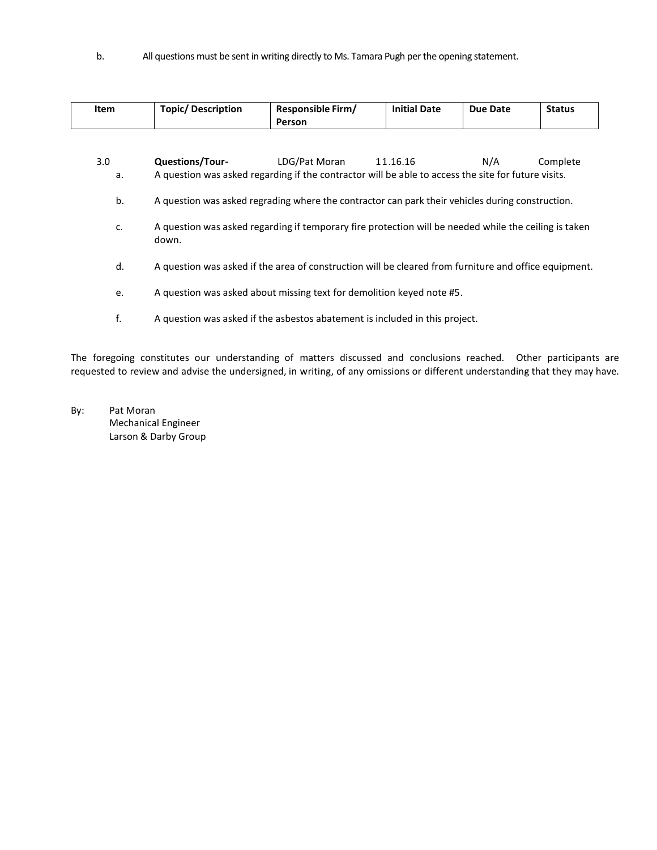b. All questions must be sent in writing directly to Ms. Tamara Pugh per the opening statement.

| Item | <b>Topic/ Description</b>                                                                                      | Responsible Firm/<br>Person | <b>Initial Date</b> | <b>Due Date</b> | <b>Status</b> |  |
|------|----------------------------------------------------------------------------------------------------------------|-----------------------------|---------------------|-----------------|---------------|--|
|      |                                                                                                                |                             |                     |                 |               |  |
| 3.0  | <b>Questions/Tour-</b>                                                                                         | LDG/Pat Moran               | 11.16.16            | N/A             | Complete      |  |
| a.   | A question was asked regarding if the contractor will be able to access the site for future visits.            |                             |                     |                 |               |  |
| b.   | A question was asked regrading where the contractor can park their vehicles during construction.               |                             |                     |                 |               |  |
| c.   | A question was asked regarding if temporary fire protection will be needed while the ceiling is taken<br>down. |                             |                     |                 |               |  |
| d.   | A question was asked if the area of construction will be cleared from furniture and office equipment.          |                             |                     |                 |               |  |
| e.   | A question was asked about missing text for demolition keyed note #5.                                          |                             |                     |                 |               |  |
| f.   | A question was asked if the asbestos abatement is included in this project.                                    |                             |                     |                 |               |  |

The foregoing constitutes our understanding of matters discussed and conclusions reached. Other participants are requested to review and advise the undersigned, in writing, of any omissions or different understanding that they may have.

By: Pat Moran Mechanical Engineer Larson & Darby Group